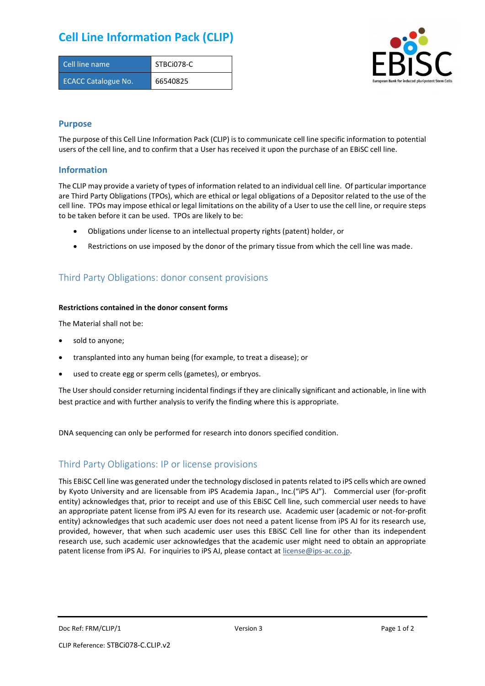## **Cell Line Information Pack (CLIP)**

| Cell line name             | STBCi078-C |
|----------------------------|------------|
| <b>ECACC Catalogue No.</b> | 66540825   |



### **Purpose**

The purpose of this Cell Line Information Pack (CLIP) is to communicate cell line specific information to potential users of the cell line, and to confirm that a User has received it upon the purchase of an EBiSC cell line.

### **Information**

The CLIP may provide a variety of types of information related to an individual cell line. Of particular importance are Third Party Obligations (TPOs), which are ethical or legal obligations of a Depositor related to the use of the cell line. TPOs may impose ethical or legal limitations on the ability of a User to use the cell line, or require steps to be taken before it can be used. TPOs are likely to be:

- Obligations under license to an intellectual property rights (patent) holder, or
- Restrictions on use imposed by the donor of the primary tissue from which the cell line was made.

## Third Party Obligations: donor consent provisions

#### **Restrictions contained in the donor consent forms**

The Material shall not be:

- sold to anyone;
- transplanted into any human being (for example, to treat a disease); or
- used to create egg or sperm cells (gametes), or embryos.

The User should consider returning incidental findings if they are clinically significant and actionable, in line with best practice and with further analysis to verify the finding where this is appropriate.

DNA sequencing can only be performed for research into donors specified condition.

### Third Party Obligations: IP or license provisions

This EBiSC Cell line was generated under the technology disclosed in patents related to iPS cells which are owned by Kyoto University and are licensable from iPS Academia Japan., Inc.("iPS AJ"). Commercial user (for-profit entity) acknowledges that, prior to receipt and use of this EBiSC Cell line, such commercial user needs to have an appropriate patent license from iPS AJ even for its research use. Academic user (academic or not-for-profit entity) acknowledges that such academic user does not need a patent license from iPS AJ for its research use, provided, however, that when such academic user uses this EBiSC Cell line for other than its independent research use, such academic user acknowledges that the academic user might need to obtain an appropriate patent license from iPS AJ. For inquiries to iPS AJ, please contact at [license@ips-ac.co.jp.](mailto:license@ips-ac.co.jp)

Doc Ref: FRM/CLIP/1 **Doces 2** Page 1 of 2 Page 1 of 2